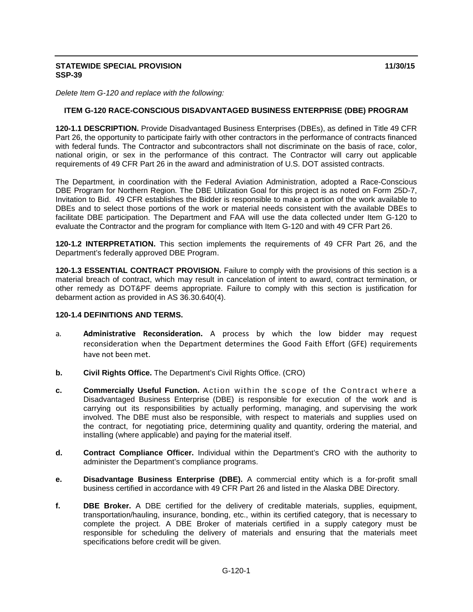#### **STATEWIDE SPECIAL PROVISION** 11/30/15 **SSP-39**

*Delete Item G-120 and replace with the following:*

### **ITEM G-120 RACE-CONSCIOUS DISADVANTAGED BUSINESS ENTERPRISE (DBE) PROGRAM**

**120-1.1 DESCRIPTION.** Provide Disadvantaged Business Enterprises (DBEs), as defined in Title 49 CFR Part 26, the opportunity to participate fairly with other contractors in the performance of contracts financed with federal funds. The Contractor and subcontractors shall not discriminate on the basis of race, color, national origin, or sex in the performance of this contract. The Contractor will carry out applicable requirements of 49 CFR Part 26 in the award and administration of U.S. DOT assisted contracts.

The Department, in coordination with the Federal Aviation Administration, adopted a Race-Conscious DBE Program for Northern Region. The DBE Utilization Goal for this project is as noted on Form 25D-7, Invitation to Bid. 49 CFR establishes the Bidder is responsible to make a portion of the work available to DBEs and to select those portions of the work or material needs consistent with the available DBEs to facilitate DBE participation. The Department and FAA will use the data collected under Item G-120 to evaluate the Contractor and the program for compliance with Item G-120 and with 49 CFR Part 26.

**120-1.2 INTERPRETATION.** This section implements the requirements of 49 CFR Part 26, and the Department's federally approved DBE Program.

**120-1.3 ESSENTIAL CONTRACT PROVISION.** Failure to comply with the provisions of this section is a material breach of contract, which may result in cancelation of intent to award, contract termination, or other remedy as DOT&PF deems appropriate. Failure to comply with this section is justification for debarment action as provided in AS 36.30.640(4).

#### **120-1.4 DEFINITIONS AND TERMS.**

- a. **Administrative Reconsideration.** A process by which the low bidder may request reconsideration when the Department determines the Good Faith Effort (GFE) requirements have not been met.
- **b. Civil Rights Office.** The Department's Civil Rights Office. (CRO)
- **c. Commercially Useful Function.** Action within the scope of the Contract where a Disadvantaged Business Enterprise (DBE) is responsible for execution of the work and is carrying out its responsibilities by actually performing, managing, and supervising the work involved. The DBE must also be responsible, with respect to materials and supplies used on the contract, for negotiating price, determining quality and quantity, ordering the material, and installing (where applicable) and paying for the material itself.
- **d. Contract Compliance Officer.** Individual within the Department's CRO with the authority to administer the Department's compliance programs.
- **e. Disadvantage Business Enterprise (DBE).** A commercial entity which is a for-profit small business certified in accordance with 49 CFR Part 26 and listed in the Alaska DBE Directory.
- **f. DBE Broker.** A DBE certified for the delivery of creditable materials, supplies, equipment, transportation/hauling, insurance, bonding, etc., within its certified category, that is necessary to complete the project. A DBE Broker of materials certified in a supply category must be responsible for scheduling the delivery of materials and ensuring that the materials meet specifications before credit will be given.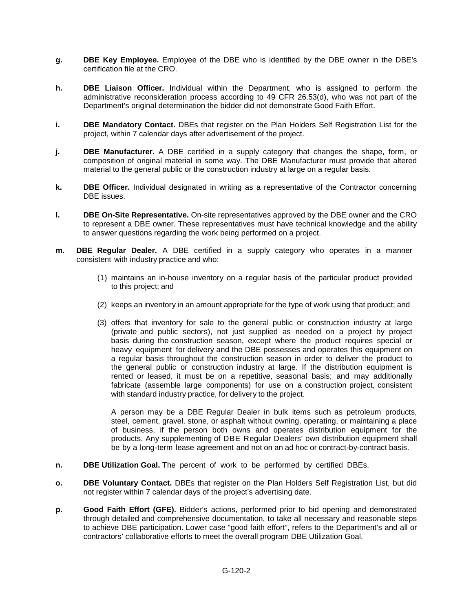- **g. DBE Key Employee.** Employee of the DBE who is identified by the DBE owner in the DBE's certification file at the CRO.
- **h. DBE Liaison Officer.** Individual within the Department, who is assigned to perform the administrative reconsideration process according to 49 CFR 26.53(d), who was not part of the Department's original determination the bidder did not demonstrate Good Faith Effort.
- **i. DBE Mandatory Contact.** DBEs that register on the Plan Holders Self Registration List for the project, within 7 calendar days after advertisement of the project.
- **j. DBE Manufacturer.** A DBE certified in a supply category that changes the shape, form, or composition of original material in some way. The DBE Manufacturer must provide that altered material to the general public or the construction industry at large on a regular basis.
- **k. DBE Officer.** Individual designated in writing as a representative of the Contractor concerning DBE issues.
- **l. DBE On-Site Representative.** On-site representatives approved by the DBE owner and the CRO to represent a DBE owner. These representatives must have technical knowledge and the ability to answer questions regarding the work being performed on a project.
- **m. DBE Regular Dealer.** A DBE certified in a supply category who operates in a manner consistent with industry practice and who:
	- (1) maintains an in-house inventory on a regular basis of the particular product provided to this project; and
	- (2) keeps an inventory in an amount appropriate for the type of work using that product; and
	- (3) offers that inventory for sale to the general public or construction industry at large (private and public sectors), not just supplied as needed on a project by project basis during the construction season, except where the product requires special or heavy equipment for delivery and the DBE possesses and operates this equipment on a regular basis throughout the construction season in order to deliver the product to the general public or construction industry at large. If the distribution equipment is rented or leased, it must be on a repetitive, seasonal basis; and may additionally fabricate (assemble large components) for use on a construction project, consistent with standard industry practice, for delivery to the project.

A person may be a DBE Regular Dealer in bulk items such as petroleum products, steel, cement, gravel, stone, or asphalt without owning, operating, or maintaining a place of business, if the person both owns and operates distribution equipment for the products. Any supplementing of DBE Regular Dealers' own distribution equipment shall be by a long-term lease agreement and not on an ad hoc or contract-by-contract basis.

- **n. DBE Utilization Goal.** The percent of work to be performed by certified DBEs.
- **o. DBE Voluntary Contact.** DBEs that register on the Plan Holders Self Registration List, but did not register within 7 calendar days of the project's advertising date.
- **p. Good Faith Effort (GFE).** Bidder's actions, performed prior to bid opening and demonstrated through detailed and comprehensive documentation, to take all necessary and reasonable steps to achieve DBE participation. Lower case "good faith effort", refers to the Department's and all or contractors' collaborative efforts to meet the overall program DBE Utilization Goal.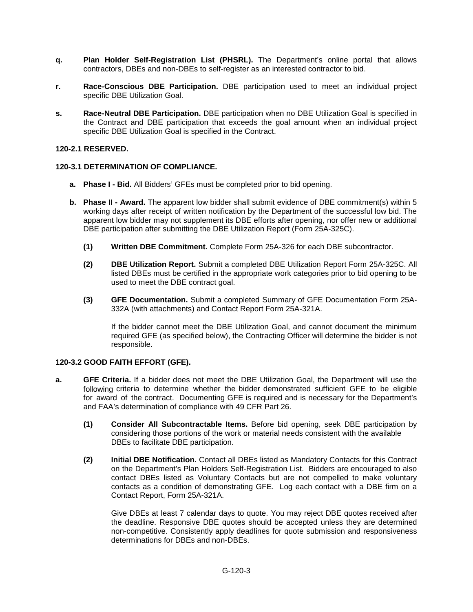- **q. Plan Holder Self-Registration List (PHSRL).** The Department's online portal that allows contractors, DBEs and non-DBEs to self-register as an interested contractor to bid.
- **r. Race-Conscious DBE Participation.** DBE participation used to meet an individual project specific DBE Utilization Goal.
- **s. Race-Neutral DBE Participation.** DBE participation when no DBE Utilization Goal is specified in the Contract and DBE participation that exceeds the goal amount when an individual project specific DBE Utilization Goal is specified in the Contract.

### **120-2.1 RESERVED.**

### **120-3.1 DETERMINATION OF COMPLIANCE.**

- **a. Phase I - Bid.** All Bidders' GFEs must be completed prior to bid opening.
- **b. Phase II - Award.** The apparent low bidder shall submit evidence of DBE commitment(s) within 5 working days after receipt of written notification by the Department of the successful low bid. The apparent low bidder may not supplement its DBE efforts after opening, nor offer new or additional DBE participation after submitting the DBE Utilization Report (Form 25A-325C).
	- **(1) Written DBE Commitment.** Complete Form 25A-326 for each DBE subcontractor.
	- **(2) DBE Utilization Report.** Submit a completed DBE Utilization Report Form 25A-325C. All listed DBEs must be certified in the appropriate work categories prior to bid opening to be used to meet the DBE contract goal.
	- **(3) GFE Documentation.** Submit a completed Summary of GFE Documentation Form 25A-332A (with attachments) and Contact Report Form 25A-321A.

If the bidder cannot meet the DBE Utilization Goal, and cannot document the minimum required GFE (as specified below), the Contracting Officer will determine the bidder is not responsible.

#### **120-3.2 GOOD FAITH EFFORT (GFE).**

- **a. GFE Criteria.** If a bidder does not meet the DBE Utilization Goal, the Department will use the following criteria to determine whether the bidder demonstrated sufficient GFE to be eligible for award of the contract. Documenting GFE is required and is necessary for the Department's and FAA's determination of compliance with 49 CFR Part 26.
	- **(1) Consider All Subcontractable Items.** Before bid opening, seek DBE participation by considering those portions of the work or material needs consistent with the available DBEs to facilitate DBE participation.
	- **(2) Initial DBE Notification.** Contact all DBEs listed as Mandatory Contacts for this Contract on the Department's Plan Holders Self-Registration List. Bidders are encouraged to also contact DBEs listed as Voluntary Contacts but are not compelled to make voluntary contacts as a condition of demonstrating GFE. Log each contact with a DBE firm on a Contact Report, Form 25A-321A.

Give DBEs at least 7 calendar days to quote. You may reject DBE quotes received after the deadline. Responsive DBE quotes should be accepted unless they are determined non-competitive. Consistently apply deadlines for quote submission and responsiveness determinations for DBEs and non-DBEs.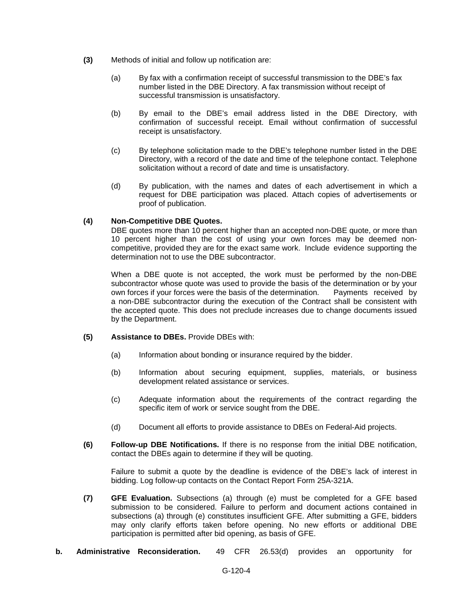- **(3)** Methods of initial and follow up notification are:
	- (a) By fax with a confirmation receipt of successful transmission to the DBE's fax number listed in the DBE Directory. A fax transmission without receipt of successful transmission is unsatisfactory.
	- (b) By email to the DBE's email address listed in the DBE Directory, with confirmation of successful receipt. Email without confirmation of successful receipt is unsatisfactory.
	- (c) By telephone solicitation made to the DBE's telephone number listed in the DBE Directory, with a record of the date and time of the telephone contact. Telephone solicitation without a record of date and time is unsatisfactory.
	- (d) By publication, with the names and dates of each advertisement in which a request for DBE participation was placed. Attach copies of advertisements or proof of publication.

## **(4) Non-Competitive DBE Quotes.**

DBE quotes more than 10 percent higher than an accepted non-DBE quote, or more than 10 percent higher than the cost of using your own forces may be deemed noncompetitive, provided they are for the exact same work. Include evidence supporting the determination not to use the DBE subcontractor.

When a DBE quote is not accepted, the work must be performed by the non-DBE subcontractor whose quote was used to provide the basis of the determination or by your own forces if your forces were the basis of the determination. Payments received by own forces if your forces were the basis of the determination. a non-DBE subcontractor during the execution of the Contract shall be consistent with the accepted quote. This does not preclude increases due to change documents issued by the Department.

## **(5) Assistance to DBEs.** Provide DBEs with:

- (a) Information about bonding or insurance required by the bidder.
- (b) Information about securing equipment, supplies, materials, or business development related assistance or services.
- (c) Adequate information about the requirements of the contract regarding the specific item of work or service sought from the DBE.
- (d) Document all efforts to provide assistance to DBEs on Federal-Aid projects.
- **(6) Follow-up DBE Notifications.** If there is no response from the initial DBE notification, contact the DBEs again to determine if they will be quoting.

Failure to submit a quote by the deadline is evidence of the DBE's lack of interest in bidding. Log follow-up contacts on the Contact Report Form 25A-321A.

- **(7) GFE Evaluation.** Subsections (a) through (e) must be completed for a GFE based submission to be considered. Failure to perform and document actions contained in subsections (a) through (e) constitutes insufficient GFE. After submitting a GFE, bidders may only clarify efforts taken before opening. No new efforts or additional DBE participation is permitted after bid opening, as basis of GFE.
- **b. Administrative Reconsideration.** 49 CFR 26.53(d) provides an opportunity for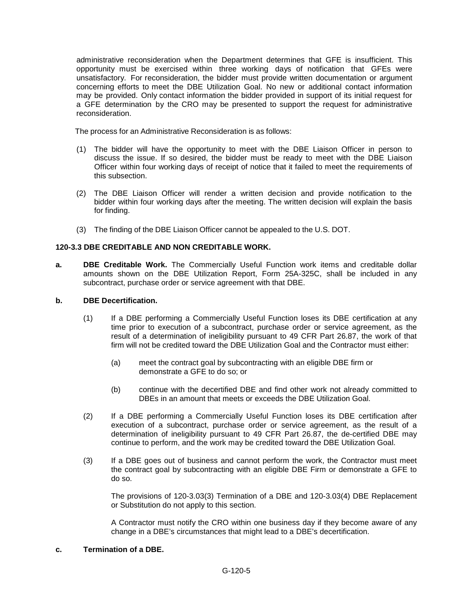administrative reconsideration when the Department determines that GFE is insufficient. This opportunity must be exercised within three working days of notification that GFEs were unsatisfactory. For reconsideration, the bidder must provide written documentation or argument concerning efforts to meet the DBE Utilization Goal. No new or additional contact information may be provided. Only contact information the bidder provided in support of its initial request for a GFE determination by the CRO may be presented to support the request for administrative reconsideration.

The process for an Administrative Reconsideration is as follows:

- (1) The bidder will have the opportunity to meet with the DBE Liaison Officer in person to discuss the issue. If so desired, the bidder must be ready to meet with the DBE Liaison Officer within four working days of receipt of notice that it failed to meet the requirements of this subsection.
- (2) The DBE Liaison Officer will render a written decision and provide notification to the bidder within four working days after the meeting. The written decision will explain the basis for finding.
- (3) The finding of the DBE Liaison Officer cannot be appealed to the U.S. DOT.

# **120-3.3 DBE CREDITABLE AND NON CREDITABLE WORK.**

**a. DBE Creditable Work.** The Commercially Useful Function work items and creditable dollar amounts shown on the DBE Utilization Report, Form 25A-325C, shall be included in any subcontract, purchase order or service agreement with that DBE.

## **b. DBE Decertification.**

- (1) If a DBE performing a Commercially Useful Function loses its DBE certification at any time prior to execution of a subcontract, purchase order or service agreement, as the result of a determination of ineligibility pursuant to 49 CFR Part 26.87, the work of that firm will not be credited toward the DBE Utilization Goal and the Contractor must either:
	- (a) meet the contract goal by subcontracting with an eligible DBE firm or demonstrate a GFE to do so; or
	- (b) continue with the decertified DBE and find other work not already committed to DBEs in an amount that meets or exceeds the DBE Utilization Goal.
- (2) If a DBE performing a Commercially Useful Function loses its DBE certification after execution of a subcontract, purchase order or service agreement, as the result of a determination of ineligibility pursuant to 49 CFR Part 26.87, the de-certified DBE may continue to perform, and the work may be credited toward the DBE Utilization Goal.
- (3) If a DBE goes out of business and cannot perform the work, the Contractor must meet the contract goal by subcontracting with an eligible DBE Firm or demonstrate a GFE to do so.

The provisions of 120-3.03(3) Termination of a DBE and 120-3.03(4) DBE Replacement or Substitution do not apply to this section.

A Contractor must notify the CRO within one business day if they become aware of any change in a DBE's circumstances that might lead to a DBE's decertification.

## **c. Termination of a DBE.**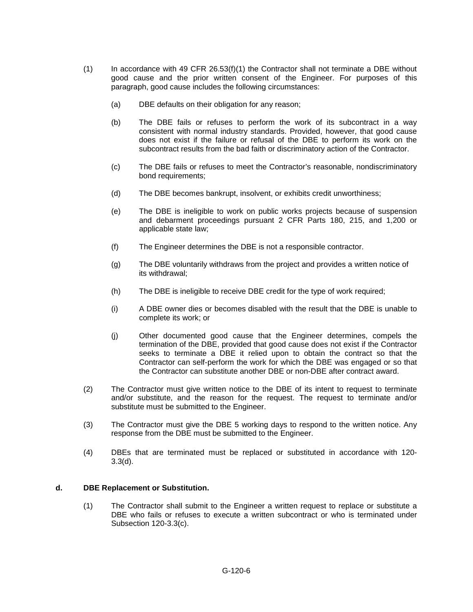- $(1)$  In accordance with 49 CFR 26.53(f)(1) the Contractor shall not terminate a DBE without good cause and the prior written consent of the Engineer. For purposes of this paragraph, good cause includes the following circumstances:
	- (a) DBE defaults on their obligation for any reason;
	- (b) The DBE fails or refuses to perform the work of its subcontract in a way consistent with normal industry standards. Provided, however, that good cause does not exist if the failure or refusal of the DBE to perform its work on the subcontract results from the bad faith or discriminatory action of the Contractor.
	- (c) The DBE fails or refuses to meet the Contractor's reasonable, nondiscriminatory bond requirements;
	- (d) The DBE becomes bankrupt, insolvent, or exhibits credit unworthiness;
	- (e) The DBE is ineligible to work on public works projects because of suspension and debarment proceedings pursuant 2 CFR Parts 180, 215, and 1,200 or applicable state law;
	- (f) The Engineer determines the DBE is not a responsible contractor.
	- (g) The DBE voluntarily withdraws from the project and provides a written notice of its withdrawal;
	- (h) The DBE is ineligible to receive DBE credit for the type of work required;
	- (i) A DBE owner dies or becomes disabled with the result that the DBE is unable to complete its work; or
	- (j) Other documented good cause that the Engineer determines, compels the termination of the DBE, provided that good cause does not exist if the Contractor seeks to terminate a DBE it relied upon to obtain the contract so that the Contractor can self-perform the work for which the DBE was engaged or so that the Contractor can substitute another DBE or non-DBE after contract award.
- (2) The Contractor must give written notice to the DBE of its intent to request to terminate and/or substitute, and the reason for the request. The request to terminate and/or substitute must be submitted to the Engineer.
- (3) The Contractor must give the DBE 5 working days to respond to the written notice. Any response from the DBE must be submitted to the Engineer.
- (4) DBEs that are terminated must be replaced or substituted in accordance with 120-  $3.3(d)$ .

#### **d. DBE Replacement or Substitution.**

(1) The Contractor shall submit to the Engineer a written request to replace or substitute a DBE who fails or refuses to execute a written subcontract or who is terminated under Subsection 120-3.3(c).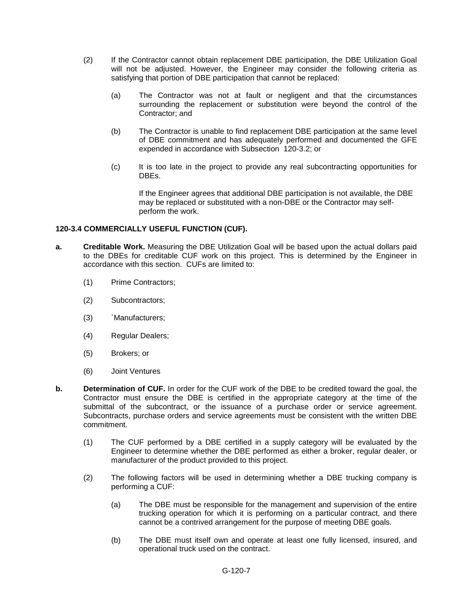- (2) If the Contractor cannot obtain replacement DBE participation, the DBE Utilization Goal will not be adjusted. However, the Engineer may consider the following criteria as satisfying that portion of DBE participation that cannot be replaced:
	- (a) The Contractor was not at fault or negligent and that the circumstances surrounding the replacement or substitution were beyond the control of the Contractor; and
	- (b) The Contractor is unable to find replacement DBE participation at the same level of DBE commitment and has adequately performed and documented the GFE expended in accordance with Subsection 120-3.2; or
	- (c) It is too late in the project to provide any real subcontracting opportunities for DBEs.

If the Engineer agrees that additional DBE participation is not available, the DBE may be replaced or substituted with a non-DBE or the Contractor may selfperform the work.

### **120-3.4 COMMERCIALLY USEFUL FUNCTION (CUF).**

- **a. Creditable Work.** Measuring the DBE Utilization Goal will be based upon the actual dollars paid to the DBEs for creditable CUF work on this project. This is determined by the Engineer in accordance with this section. CUFs are limited to:
	- (1) Prime Contractors;
	- (2) Subcontractors;
	- (3) `Manufacturers;
	- (4) Regular Dealers;
	- (5) Brokers; or
	- (6) Joint Ventures
- **b. Determination of CUF.** In order for the CUF work of the DBE to be credited toward the goal, the Contractor must ensure the DBE is certified in the appropriate category at the time of the submittal of the subcontract, or the issuance of a purchase order or service agreement. Subcontracts, purchase orders and service agreements must be consistent with the written DBE commitment.
	- (1) The CUF performed by a DBE certified in a supply category will be evaluated by the Engineer to determine whether the DBE performed as either a broker, regular dealer, or manufacturer of the product provided to this project.
	- (2) The following factors will be used in determining whether a DBE trucking company is performing a CUF:
		- (a) The DBE must be responsible for the management and supervision of the entire trucking operation for which it is performing on a particular contract, and there cannot be a contrived arrangement for the purpose of meeting DBE goals.
		- (b) The DBE must itself own and operate at least one fully licensed, insured, and operational truck used on the contract.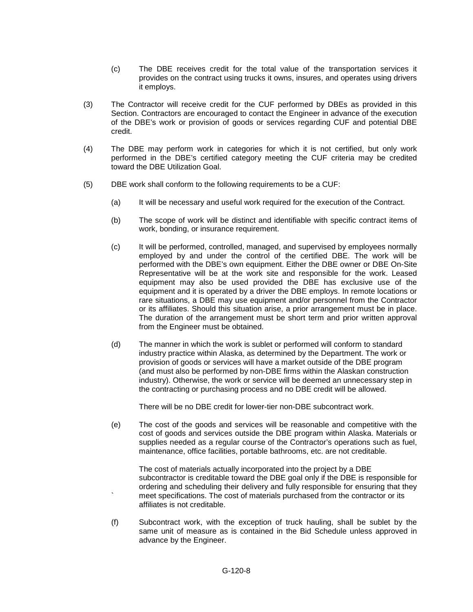- (c) The DBE receives credit for the total value of the transportation services it provides on the contract using trucks it owns, insures, and operates using drivers it employs.
- (3) The Contractor will receive credit for the CUF performed by DBEs as provided in this Section. Contractors are encouraged to contact the Engineer in advance of the execution of the DBE's work or provision of goods or services regarding CUF and potential DBE credit.
- (4) The DBE may perform work in categories for which it is not certified, but only work performed in the DBE's certified category meeting the CUF criteria may be credited toward the DBE Utilization Goal.
- (5) DBE work shall conform to the following requirements to be a CUF:
	- (a) It will be necessary and useful work required for the execution of the Contract.
	- (b) The scope of work will be distinct and identifiable with specific contract items of work, bonding, or insurance requirement.
	- (c) It will be performed, controlled, managed, and supervised by employees normally employed by and under the control of the certified DBE. The work will be performed with the DBE's own equipment. Either the DBE owner or DBE On-Site Representative will be at the work site and responsible for the work. Leased equipment may also be used provided the DBE has exclusive use of the equipment and it is operated by a driver the DBE employs. In remote locations or rare situations, a DBE may use equipment and/or personnel from the Contractor or its affiliates. Should this situation arise, a prior arrangement must be in place. The duration of the arrangement must be short term and prior written approval from the Engineer must be obtained.
	- (d) The manner in which the work is sublet or performed will conform to standard industry practice within Alaska, as determined by the Department. The work or provision of goods or services will have a market outside of the DBE program (and must also be performed by non-DBE firms within the Alaskan construction industry). Otherwise, the work or service will be deemed an unnecessary step in the contracting or purchasing process and no DBE credit will be allowed.

There will be no DBE credit for lower-tier non-DBE subcontract work.

(e) The cost of the goods and services will be reasonable and competitive with the cost of goods and services outside the DBE program within Alaska. Materials or supplies needed as a regular course of the Contractor's operations such as fuel, maintenance, office facilities, portable bathrooms, etc. are not creditable.

The cost of materials actually incorporated into the project by a DBE subcontractor is creditable toward the DBE goal only if the DBE is responsible for ordering and scheduling their delivery and fully responsible for ensuring that they meet specifications. The cost of materials purchased from the contractor or its affiliates is not creditable.

(f) Subcontract work, with the exception of truck hauling, shall be sublet by the same unit of measure as is contained in the Bid Schedule unless approved in advance by the Engineer.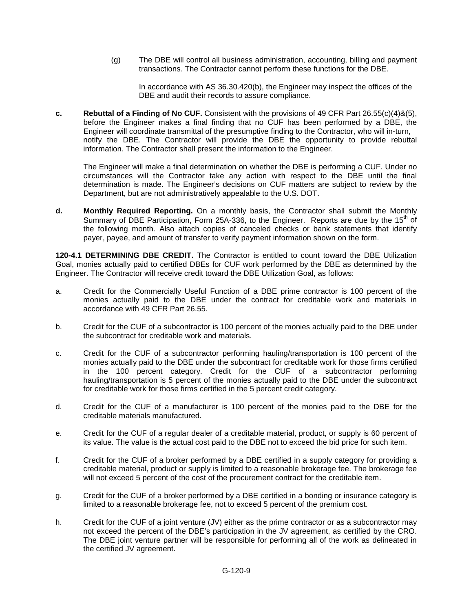(g) The DBE will control all business administration, accounting, billing and payment transactions. The Contractor cannot perform these functions for the DBE.

In accordance with AS 36.30.420(b), the Engineer may inspect the offices of the DBE and audit their records to assure compliance.

**c. Rebuttal of a Finding of No CUF.** Consistent with the provisions of 49 CFR Part 26.55(c)(4)&(5), before the Engineer makes a final finding that no CUF has been performed by a DBE, the Engineer will coordinate transmittal of the presumptive finding to the Contractor, who will in-turn, notify the DBE. The Contractor will provide the DBE the opportunity to provide rebuttal information. The Contractor shall present the information to the Engineer.

The Engineer will make a final determination on whether the DBE is performing a CUF. Under no circumstances will the Contractor take any action with respect to the DBE until the final determination is made. The Engineer's decisions on CUF matters are subject to review by the Department, but are not administratively appealable to the U.S. DOT.

**d. Monthly Required Reporting.** On a monthly basis, the Contractor shall submit the Monthly Summary of DBE Participation, Form 25A-336, to the Engineer. Reports are due by the 15<sup>th</sup> of the following month. Also attach copies of canceled checks or bank statements that identify payer, payee, and amount of transfer to verify payment information shown on the form.

**120-4.1 DETERMINING DBE CREDIT.** The Contractor is entitled to count toward the DBE Utilization Goal, monies actually paid to certified DBEs for CUF work performed by the DBE as determined by the Engineer. The Contractor will receive credit toward the DBE Utilization Goal, as follows:

- a. Credit for the Commercially Useful Function of a DBE prime contractor is 100 percent of the monies actually paid to the DBE under the contract for creditable work and materials in accordance with 49 CFR Part 26.55.
- b. Credit for the CUF of a subcontractor is 100 percent of the monies actually paid to the DBE under the subcontract for creditable work and materials.
- c. Credit for the CUF of a subcontractor performing hauling/transportation is 100 percent of the monies actually paid to the DBE under the subcontract for creditable work for those firms certified in the 100 percent category. Credit for the CUF of a subcontractor performing hauling/transportation is 5 percent of the monies actually paid to the DBE under the subcontract for creditable work for those firms certified in the 5 percent credit category.
- d. Credit for the CUF of a manufacturer is 100 percent of the monies paid to the DBE for the creditable materials manufactured.
- e. Credit for the CUF of a regular dealer of a creditable material, product, or supply is 60 percent of its value. The value is the actual cost paid to the DBE not to exceed the bid price for such item.
- f. Credit for the CUF of a broker performed by a DBE certified in a supply category for providing a creditable material, product or supply is limited to a reasonable brokerage fee. The brokerage fee will not exceed 5 percent of the cost of the procurement contract for the creditable item.
- g. Credit for the CUF of a broker performed by a DBE certified in a bonding or insurance category is limited to a reasonable brokerage fee, not to exceed 5 percent of the premium cost.
- h. Credit for the CUF of a joint venture (JV) either as the prime contractor or as a subcontractor may not exceed the percent of the DBE's participation in the JV agreement, as certified by the CRO. The DBE joint venture partner will be responsible for performing all of the work as delineated in the certified JV agreement.